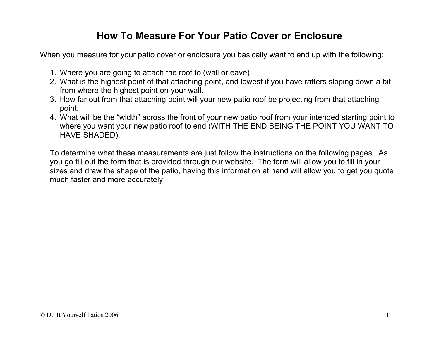# **How To Measure For Your Patio Cover or Enclosure**

When you measure for your patio cover or enclosure you basically want to end up with the following:

- 1. Where you are going to attach the roof to (wall or eave)
- 2. What is the highest point of that attaching point, and l owest if you have rafters sloping down a bit from where the highest point on your wall.
- 3. How far out from that attaching point will your new patio roof be projecting from that attaching point.
- 4. What will be the "width" across the front of your new patio roof from your intended starting point to where you want your new patio roof to end (WITH THE END BEING THE POINT YOU WANT TO HAVE SHADED).

To determine what these measurements are j ust follow the instructions on the following pages. As you go fill out the form that is provided through our website. The form will allow you to fill in your sizes and draw the shape of the patio, having this information at hand will allow you to get you quote much faster and more accurately.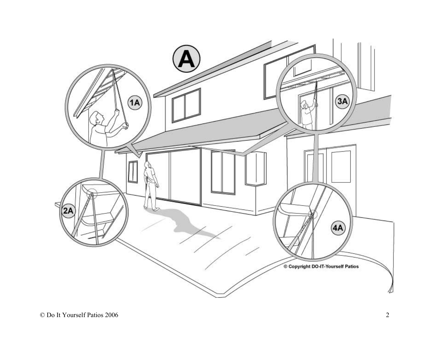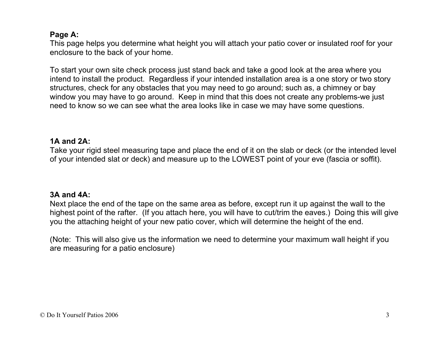### **Page A:**

This page helps you determine what height you will attach your patio cover or insulated roof for your enclosure to the back of your home.

To start your own site check process just stand back and take a good look at the area where you intend to install the product. Regardless if your intended installation area is a one story or two story structures, check for any obstacles that you may need to go around; such as, a chimney or bay window you may have to go around. Keep in mind that this does not create any problems-we just need to know so we can see what the area looks like in case we may have some questions.

#### **1A and 2A:**

Take your rigid steel measuring tape and place the end of it on the slab or deck (or the intended level of your intended slat or deck) and measure up to the LOWEST point of your eve (fascia or soffit).

# **3A and 4A:**

Next place the end of the tape on the same area as before, except run it up against the wall to the highest point of the rafter. (If you attach here, you will have to cut/trim the eaves.) Doing this will give you the attaching height of your new patio cover, which will determine the height of the end.

(Note: This will also give us the information we need to determine your maximum wall height if you are measuring for a patio enclosure)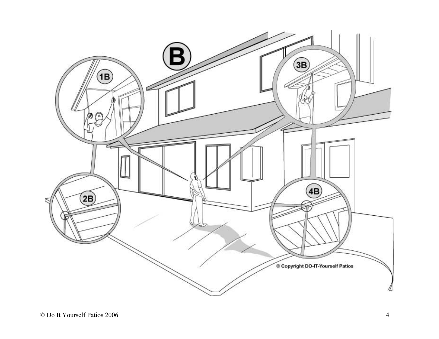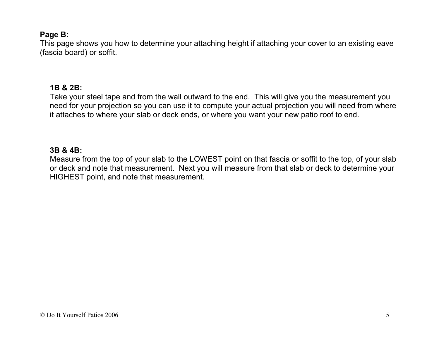### **Page B:**

This page shows you how to determine your attaching height if attaching your cover to an existing eave (fascia board) or soffit.

## **1B & 2B:**

Take your steel tape and from the wall outward to the end. This will give you the measurement you need for your projection so you can use it to compute your actual projection you will need from where it attaches to where your slab or deck ends, or where you want your new patio roof to end.

## **3B & 4B:**

Measure from the top of your slab to the LOWEST point on that fascia or soffit to the top, of your slab or deck and note that measurement. Next you will measure from that slab or deck to determine your HIGHEST point, and note that measurement.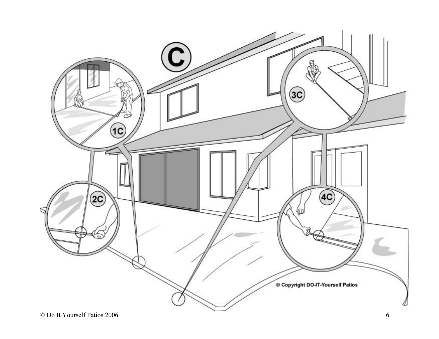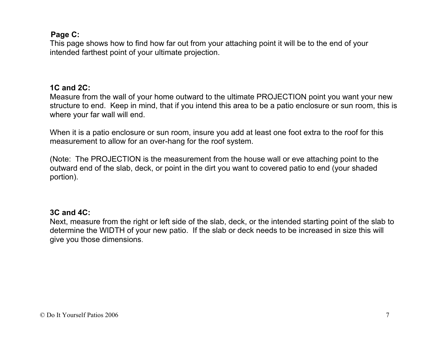### **Page C:**

This page shows how to find how far out from your attaching point it will be to the end of your intended farthest point of your ultimate projection.

# **1C and 2C:**

Measure from the wall of your home outward to the ultimate PROJECTION point you want your new structure to end. Keep in mind, that if you intend this area to be a patio enclosure or sun room, this is where your far wall will end.

When it is a patio enclosure or sun room, insure you add at least one foot extra to the roof for this measurement to allow for an over-hang for the roof system.

(Note: The PROJECTION is the measurement from the house wall or eve attaching point to the outward end of the slab, deck, or point in the dirt you want to covered patio to end (your shaded portion).

## **3C and 4C:**

Next, measure from the right or left side of the slab, deck, or the intended starting point of the slab to determine the WIDTH of your new patio. If the slab or deck needs to be increased in size this will give you those dimensions.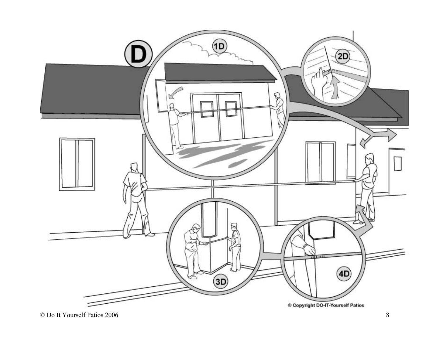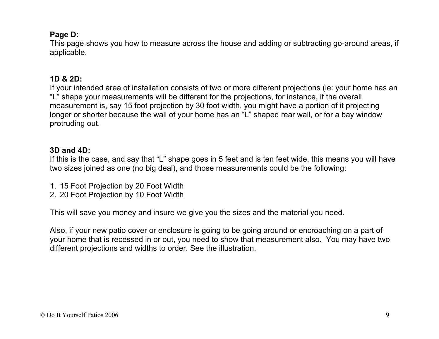## **Page D:**

This page shows you how to measure across the house and adding or subtracting go-around areas, if applicable.

# **1D & 2D:**

If your intended area of installation consists of two or more different projections (ie: your home has an "L" shape your measurements will be different for the projections, for instance, if the overall measurement is, say 15 foot projection by 30 foot width, you might have a portion of it projecting longer or shorter because the wall of your home has an "L" shaped rear wall, or for a bay window protruding out.

#### **3D and 4D:**

If this is the case, and say that "L" shape goes in 5 feet and is ten feet wide, this means you will have two sizes joined as one (no big deal), and those measurements could be the following:

- 1. 15 Foot Projection by 20 Foot Width
- 2. 20 Foot Projection by 10 Foot Width

This will save you money and insure we give you the sizes and the material you need.

Also, if your new patio cover or enclosure is going to be going around or encroaching on a part of your home that is recessed in or out, you need to show that measurement also. You may have two different projections and widths to order. See the illustration.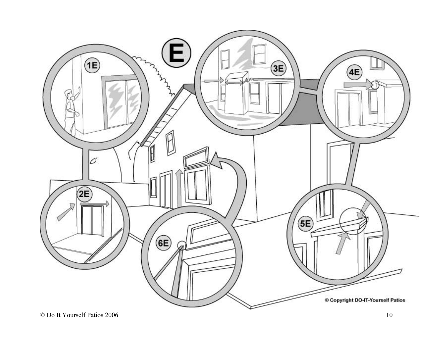